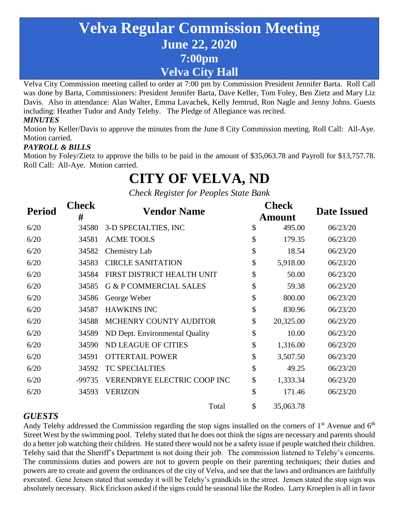## **Velva Regular Commission Meeting June 22, 2020 7:00pm Velva City Hall**

Velva City Commission meeting called to order at 7:00 pm by Commission President Jennifer Barta. Roll Call was done by Barta, Commissioners: President Jennifer Barta, Dave Keller, Tom Foley, Ben Zietz and Mary Liz Davis. Also in attendance: Alan Walter, Emma Lavachek, Kelly Jemtrud, Ron Nagle and Jenny Johns. Guests including: Heather Tudor and Andy Telehy. The Pledge of Allegiance was recited. *MINUTES*

Motion by Keller/Davis to approve the minutes from the June 8 City Commission meeting. Roll Call: All-Aye. Motion carried.

#### *PAYROLL & BILLS*

Motion by Foley/Zietz to approve the bills to be paid in the amount of \$35,063.78 and Payroll for \$13,757.78. Roll Call: All-Aye. Motion carried.

# **CITY OF VELVA, ND**

*Check Register for Peoples State Bank*

| <b>Period</b> | <b>Check</b><br># | <b>Vendor Name</b>                | <b>Check</b><br>Amount | <b>Date Issued</b> |
|---------------|-------------------|-----------------------------------|------------------------|--------------------|
| 6/20          | 34580             | 3-D SPECIALTIES, INC              | \$<br>495.00           | 06/23/20           |
| 6/20          | 34581             | <b>ACME TOOLS</b>                 | \$<br>179.35           | 06/23/20           |
| 6/20          | 34582             | Chemistry Lab                     | \$<br>18.54            | 06/23/20           |
| 6/20          | 34583             | <b>CIRCLE SANITATION</b>          | \$<br>5,918.00         | 06/23/20           |
| 6/20          | 34584             | FIRST DISTRICT HEALTH UNIT        | \$<br>50.00            | 06/23/20           |
| 6/20          | 34585             | <b>G &amp; P COMMERCIAL SALES</b> | \$<br>59.38            | 06/23/20           |
| 6/20          | 34586             | George Weber                      | \$<br>800.00           | 06/23/20           |
| 6/20          | 34587             | <b>HAWKINS INC</b>                | \$<br>830.96           | 06/23/20           |
| 6/20          | 34588             | MCHENRY COUNTY AUDITOR            | \$<br>20,325.00        | 06/23/20           |
| 6/20          | 34589             | ND Dept. Environmental Quality    | \$<br>10.00            | 06/23/20           |
| 6/20          | 34590             | <b>ND LEAGUE OF CITIES</b>        | \$<br>1,316.00         | 06/23/20           |
| 6/20          | 34591             | <b>OTTERTAIL POWER</b>            | \$<br>3,507.50         | 06/23/20           |
| 6/20          | 34592             | <b>TC SPECIALTIES</b>             | \$<br>49.25            | 06/23/20           |
| 6/20          | -99735            | VERENDRYE ELECTRIC COOP INC       | \$<br>1,333.34         | 06/23/20           |
| 6/20          | 34593             | <b>VERIZON</b>                    | \$<br>171.46           | 06/23/20           |
|               |                   | Total                             | \$<br>35,063.78        |                    |

#### *GUESTS*

Andy Telehy addressed the Commission regarding the stop signs installed on the corners of  $1<sup>st</sup>$  Avenue and  $6<sup>th</sup>$ Street West by the swimming pool. Telehy stated that he does not think the signs are necessary and parents should do a better job watching their children. He stated there would not be a safety issue if people watched their children. Telehy said that the Sheriff's Department is not doing their job. The commission listened to Telehy's concerns. The commissions duties and powers are not to govern people on their parenting techniques; their duties and powers are to create and govern the ordinances of the city of Velva, and see that the laws and ordinances are faithfully executed. Gene Jensen stated that someday it will be Telehy's grandkids in the street. Jensen stated the stop sign was absolutely necessary. Rick Erickson asked if the signs could be seasonal like the Rodeo. Larry Kroeplen is all in favor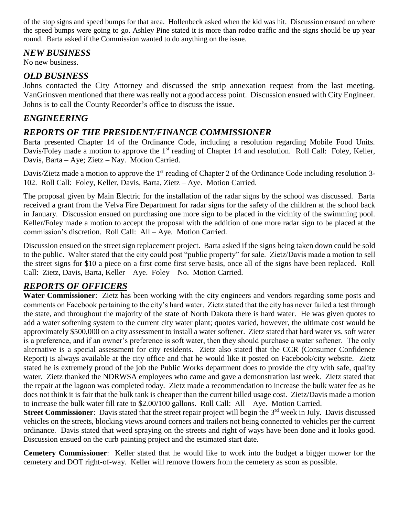of the stop signs and speed bumps for that area. Hollenbeck asked when the kid was hit. Discussion ensued on where the speed bumps were going to go. Ashley Pine stated it is more than rodeo traffic and the signs should be up year round. Barta asked if the Commission wanted to do anything on the issue.

#### *NEW BUSINESS*

No new business.

#### *OLD BUSINESS*

Johns contacted the City Attorney and discussed the strip annexation request from the last meeting. VanGrinsven mentioned that there was really not a good access point. Discussion ensued with City Engineer. Johns is to call the County Recorder's office to discuss the issue.

#### *ENGINEERING*

#### *REPORTS OF THE PRESIDENT/FINANCE COMMISSIONER*

Barta presented Chapter 14 of the Ordinance Code, including a resolution regarding Mobile Food Units. Davis/Foley made a motion to approve the 1<sup>st</sup> reading of Chapter 14 and resolution. Roll Call: Foley, Keller, Davis, Barta – Aye; Zietz – Nay. Motion Carried.

Davis/Zietz made a motion to approve the 1<sup>st</sup> reading of Chapter 2 of the Ordinance Code including resolution 3-102. Roll Call: Foley, Keller, Davis, Barta, Zietz – Aye. Motion Carried.

The proposal given by Main Electric for the installation of the radar signs by the school was discussed. Barta received a grant from the Velva Fire Department for radar signs for the safety of the children at the school back in January. Discussion ensued on purchasing one more sign to be placed in the vicinity of the swimming pool. Keller/Foley made a motion to accept the proposal with the addition of one more radar sign to be placed at the commission's discretion. Roll Call: All – Aye. Motion Carried.

Discussion ensued on the street sign replacement project. Barta asked if the signs being taken down could be sold to the public. Walter stated that the city could post "public property" for sale. Zietz/Davis made a motion to sell the street signs for \$10 a piece on a first come first serve basis, once all of the signs have been replaced. Roll Call: Zietz, Davis, Barta, Keller – Aye. Foley – No. Motion Carried.

#### *REPORTS OF OFFICERS*

**Water Commissioner**: Zietz has been working with the city engineers and vendors regarding some posts and comments on Facebook pertaining to the city's hard water. Zietz stated that the city has never failed a test through the state, and throughout the majority of the state of North Dakota there is hard water. He was given quotes to add a water softening system to the current city water plant; quotes varied, however, the ultimate cost would be approximately \$500,000 on a city assessment to install a water softener. Zietz stated that hard water vs. soft water is a preference, and if an owner's preference is soft water, then they should purchase a water softener. The only alternative is a special assessment for city residents. Zietz also stated that the CCR (Consumer Confidence Report) is always available at the city office and that he would like it posted on Facebook/city website. Zietz stated he is extremely proud of the job the Public Works department does to provide the city with safe, quality water. Zietz thanked the NDRWSA employees who came and gave a demonstration last week. Zietz stated that the repair at the lagoon was completed today. Zietz made a recommendation to increase the bulk water fee as he does not think it is fair that the bulk tank is cheaper than the current billed usage cost. Zietz/Davis made a motion to increase the bulk water fill rate to \$2.00/100 gallons. Roll Call: All – Aye. Motion Carried.

**Street Commissioner**: Davis stated that the street repair project will begin the 3<sup>rd</sup> week in July. Davis discussed vehicles on the streets, blocking views around corners and trailers not being connected to vehicles per the current ordinance. Davis stated that weed spraying on the streets and right of ways have been done and it looks good. Discussion ensued on the curb painting project and the estimated start date.

**Cemetery Commissioner**: Keller stated that he would like to work into the budget a bigger mower for the cemetery and DOT right-of-way. Keller will remove flowers from the cemetery as soon as possible.